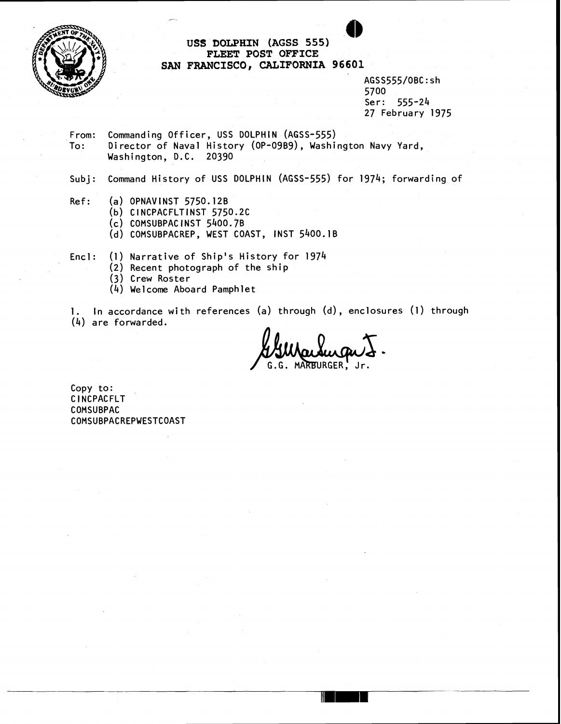

tJS#!I **DOLPHIN (AGSS 555) FLEET POST OFFICE SAN FRANCISCO, CALIFORNIA 96601** 

> AGSS555/OBC:sh 5700 Ser: 555-24 27 February 1975

From: Commanding Officer, USS DOLPHIN (AGSS-555) To: Director of Naval History (OP-09B9), Washington Navy Yard, Washington, D.C. 20390

Subj: Command History of USS DOLPHIN (AGss-555) for 1974; forwarding of

- $Ref:$  (a) OPNAVINST 5750.12B
	- (b) C **l** NCPACFLTINST 5750.2C
	- (c) COMSUBPACINST 5400.7B

-

(d) COMSUBPACREP, WEST COAST, INST 5400.1B

Encl: (1) Narrative of Ship's History for 1974

- (2) Recent photograph of the ship
- (3) Crew Roster
- (4) We1 come Aboard Pamphlet

 $1.$  In accordance with references (a) through (d), enclosures (l) through (4) are forwarded.

t<br>(a) through (d), enclosures (1) throug<br>**Wanding T.**<br>G.G. MARBURGER, Jr.

Copy to: <sup>C</sup>**l** NCPAC FLT COMSUBPAC COMSUBPACREPWESTCOAST